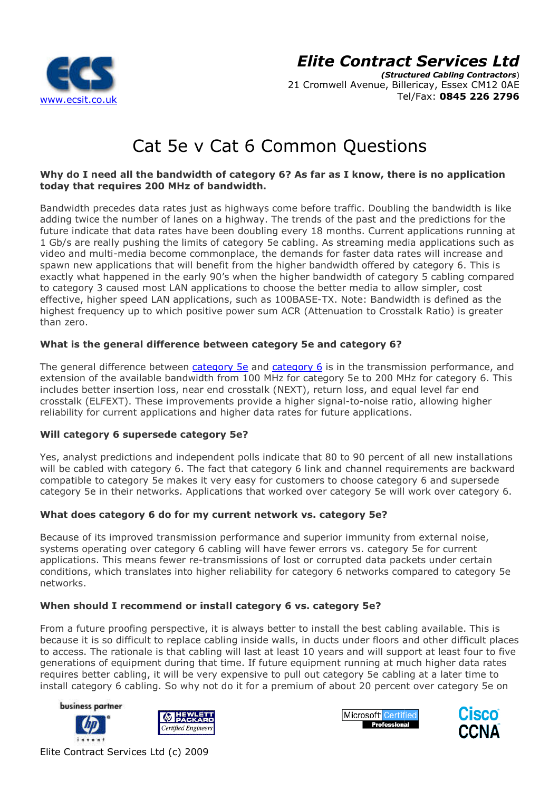

(Structured Cabling Contractors ) 21 Cromwell Avenue, Billericay, Essex CM12 0AE Tel/Fax: 0845 226 2796

# Cat 5e v Cat 6 Common Questions

### Why do I need all the bandwidth of category 6? As far as I know, there is no application today that requires 200 MHz of bandwidth.

Bandwidth precedes data rates just as highways come before traffic. Doubling the bandwidth is like adding twice the number of lanes on a highway. The trends of the past and the predictions for the future indicate that data rates have been doubling every 18 months. Current applications running at 1 Gb/s are really pushing the limits of category 5e cabling. As streaming media applications such as video and multi-media become commonplace, the demands for faster data rates will increase and spawn new applications that will benefit from the higher bandwidth offered by category 6. This is exactly what happened in the early 90's when the higher bandwidth of category 5 cabling compared to category 3 caused most LAN applications to choose the better media to allow simpler, cost effective, higher speed LAN applications, such as 100BASE-TX. Note: Bandwidth is defined as the highest frequency up to which positive power sum ACR (Attenuation to Crosstalk Ratio) is greater than zero. media become commonplace, the demands for faster data rates will in<br>cations that will benefit from the higher bandwidth offered by category<br>ppened in the early 90's when the higher bandwidth of category 5 cabli<br>used most L ing. As streaming media applications such ands for faster data rates will increase and<br>er bandwidth offered by category 6. This is<br>er bandwidth of category 5 cabling compare<br>the better media to allow simpler, cost<br>ASE-TX.

### What is the general difference between category 5e and category 6?

The general difference between category 5e and category 6 is in the transmission performance, and extension of the available bandwidth from 100 MHz for category 5e to 200 MHz for category 6. This includes better insertion loss, near end crosstalk (NEXT), return loss, and equal level far end includes better insertion loss, near end crosstalk (NEXT), return loss, and equal level far end<br>crosstalk (ELFEXT). These improvements provide a higher signal-to-noise ratio, allowing higher reliability for current applications and higher data rates for future applications.

### Will category 6 supersede category 5e?

Yes, analyst predictions and independent polls indicate that 80 to 90 percent of all new installations will be cabled with category 6. The fact that category 6 link and channel requirements are backward compatible to category 5e makes it very easy for customers to choose category 6 and supersede category 5e in their networks. Applications that worked over category 5e will work over category 6.

### What does category 6 do for my current network vs. category 5 5e?

Because of its improved transmission performance and superior immunity from external noise, systems operating over category 6 cabling will have fewer errors vs. category 5e for current applications. This means fewer re-transmissions of lost or corrupted data packets under certain conditions, which translates into higher reliability for category 6 networks compared to category 5e networks. is higher signal-to-noise ratio, allowing higher<br>rates for future applications.<br>icate that 80 to 90 percent of all new installations<br>ory 6 link and channel requirements are backward<br>customers to choose category 6 and super

### When should I recommend or install category 6 vs. category 5e?

From a future proofing perspective, it is always better to install the best cabling available. This is because it is so difficult to replace cabling inside walls, in ducts under floors and other difficult places to access. The rationale is that cabling will last at least 10 years and will support at least four to five generations of equipment during that time. If future equipment running at much higher data rates requires better cabling, it will be very expensive to pull out category 5e cabling at a later time to install category 6 cabling. So why not do it for a premium of about 20 percent over category 5e on









Elite Contract Services Ltd (c) 2009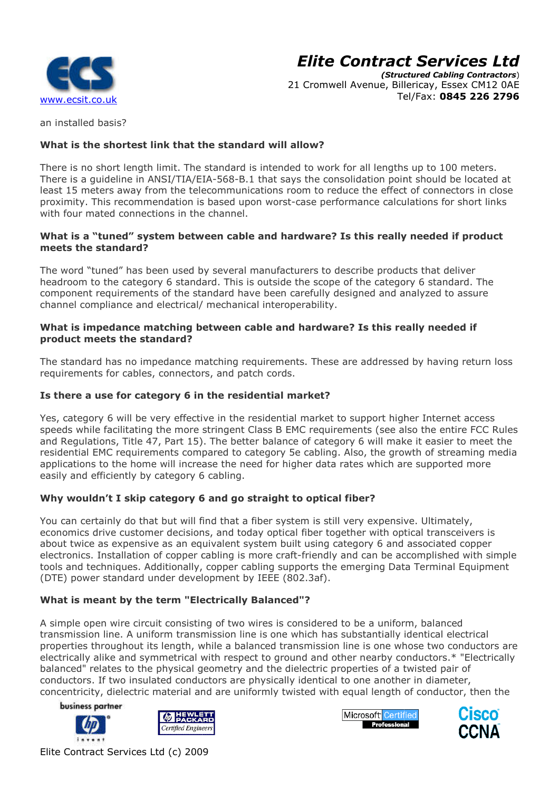

(Structured Cabling Contractors ) 21 Cromwell Avenue, Billericay, Essex CM12 0AE Tel/Fax: 0845 226 2796

an installed basis?

### What is the shortest link that the standard will allow?

There is no short length limit. The standard is intended to work for all lengths up to 100 meters. There is a guideline in ANSI/TIA/EIA-568-B.1 that says the consolidation point should be located at least 15 meters away from the telecommunications room to reduce the effect of connectors in close There is a guideline in ANSI/TIA/EIA-568-B.1 that says the consolidation point should be located at<br>least 15 meters away from the telecommunications room to reduce the effect of connectors in close<br>proximity. This recommen with four mated connections in the channel.

### What is a "tuned" system between cable and hardware? Is this really needed if product meets the standard?

The word "tuned" has been used by several manufacturers to describe products that deliver headroom to the category 6 standard. This is outside the scope of the category 6 standard. The component requirements of the standard have been carefully designed and analyzed to assure channel compliance and electrical/ mechanical interoperability.

### What is impedance matching between cable and hardware? Is this really needed if product meets the standard?

The standard has no impedance matching requirements. These are addressed by having return loss requirements for cables, connectors, and patch cords.

### Is there a use for category 6 in the residential market?

Yes, category 6 will be very effective in the residential market to support higher Internet access speeds while facilitating the more stringent Class B EMC requirements (see also the entire FCC Rules and Regulations, Title 47, Part 15). The better balance of category 6 will make it easier to meet the residential EMC requirements compared to category 5e cabling. Also, the growth of streaming media applications to the home will increase the need for higher data rates which are supported more easily and efficiently by category 6 cabling.

### Why wouldn't I skip category 6 and go straight to optical fiber?

You can certainly do that but will find that a fiber system is still very expensive. Ultimately, economics drive customer decisions, and today optical fiber together with optical transceivers is about twice as expensive as an equivalent system built using category 6 and associated copper economics drive customer decisions, and today optical fiber together with optical transceivers is<br>about twice as expensive as an equivalent system built using category 6 and associated copper<br>electronics. Installation of c tools and techniques. Additionally, copper cabling supports the emerging Data Terminal Equipment (DTE) power standard under development by IEEE (802.3af). her data rates which are supported more<br> **o optical fiber?**<br>
em is still very expensive. Ultimately,<br>
I fiber together with optical transceivers is<br>
t using category 6 and associated copper<br>
I-friendly and can be accomplis

### What is meant by the term "Electrically Balanced"?

A simple open wire circuit consisting of two wires is considered to be a uniform, balanced transmission line. A uniform transmission line is one which has substantially identical electrical properties throughout its length, while a balanced transmission line is one whose electrically alike and symmetrical with respect to ground and other nearby conductors.\* "Electrically balanced" relates to the physical geometry and the dielectric properties of a twisted pair of conductors. If two insulated conductors are physically identical to one another in diameter, concentricity, dielectric material and are uniformly twisted with equal length of conductor, then the ire circuit consisting of two wires is considered to be a uniform, balanced<br>
E. A uniform transmission line is one which has substantially identical electric<br>
ghout its length, while a balanced transmission line is one who

business partner







Elite Contract Services Ltd (c) 2009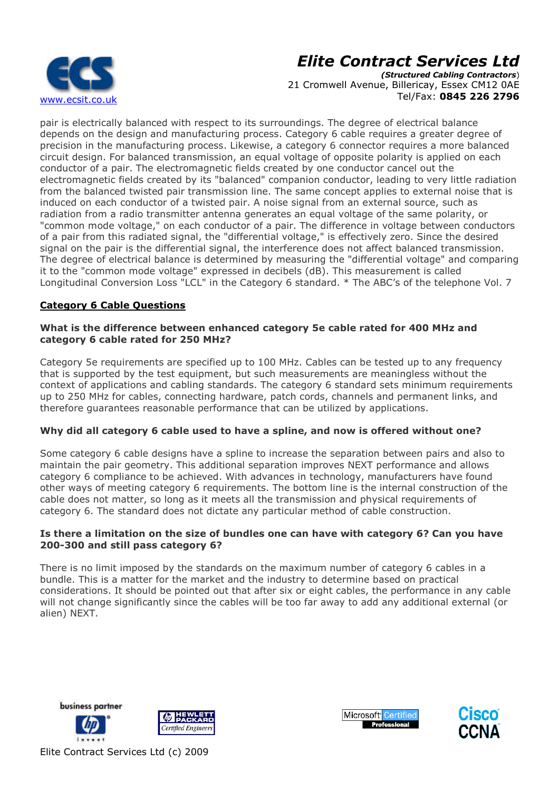

(Structured Cabling Contractors ) 21 Cromwell Avenue, Billericay, Essex CM12 0AE Tel/Fax: 0845 226 2796

pair is electrically balanced with respect to its surroundings. The degree of electrical balance depends on the design and manufacturing process. Category 6 cable requires a greater degree of precision in the manufacturing process. Likewise, a category 6 connector requires a more balanced circuit design. For balanced transmission, an equal voltage of opposite polarity is applied on each conductor of a pair. The electromagnetic fields created by one conductor cancel out the electromagnetic fields created by its "balanced" companion conductor, leading to very little radiation from the balanced twisted pair transmission line. The same concept applies to external noise that is induced on each conductor of a twisted pair. A noise signal from an external source, such as radiation from a radio transmitter antenna generates an equal voltage of the same polarity, or "common mode voltage," on each conductor of a pair. The difference in voltage between conductors of a pair from this radiated signal, the "differential voltage," is effectively zero. Since the desired signal on the pair is the differential signal, the interference does not affect balanced transmission. The degree of electrical balance is determined by measuring the "differential voltage" and comparing it to the "common mode voltage" expressed in decibels (dB). This measurement is called Longitudinal Conversion Loss "LCL" in the Category 6 standard. \* The ABC's of the telephone Vol. 7 nds on the design and manufacturing process. Category 6 cable requires a greater degree of<br>sion in the manufacturing process. Likewise, a category 6 connector requires a more balance<br>it design. For balanced transmission, a ransmission line. The same concept applies to external noise that i<br>twisted pair. A noise signal from an external source, such as<br>er antenna generates an equal voltage of the same polarity, or<br>ch conductor of a pair. The d ion, an equal voltage of opposite polarity is applied on each, an equal voltage of opposite polarity is applied on each absolanced" companion conductor, leading to very little rad bail. Sission line. The same concept appli

### Category 6 Cable Questions

### What is the difference between enhanced category 5e cable rated for 400 MHz and category 6 cable rated for 250 MHz?

Category 5e requirements are specified up to 100 MHz. Cables can be tested up to any frequency that is supported by the test equipment, but such measurements are meaningless without the context of applications and cabling standards. The category 6 standard sets minimum requirements up to 250 MHz for cables, connecting hardware, patch cords, channels and permanent links, and therefore guarantees reasonable performance that can be utilized by applications. gitudinal Conversion Loss "LCL" in the Category 6 standard. \* The ABC's of the telephone Vo<br> **egory 6 Cable Questions**<br> **at is the difference between enhanced category 5e cable rated for 400 MHz and**<br>
gory 6 cable rated fo

### Why did all category 6 cable used to have a spline, and now is offered without one?

Some category 6 cable designs have a spline to increase the separation between pairs and also to maintain the pair geometry. This additional separation improves NEXT performance and allows category 6 compliance to be achieved. With advances in technology, manufacturers have found other ways of meeting category 6 requirements. The bottom line is the internal construction of the cable does not matter, so long as it meets all the transmission and physical requirements of category 6. The standard does not dictate any particular method of cable construction.

### Is there a limitation on the size of bundles one can have with category 6? Can you have 200-300 and still pass category 6? 300

There is no limit imposed by the standards on the maximum number of category 6 cables in a bundle. This is a matter for the market and the industry to determine based on practical considerations. It should be pointed out that after six or eight cables, the performance in any cable will not change significantly since the cables will be too far away to add any additional external (or alien) NEXT.